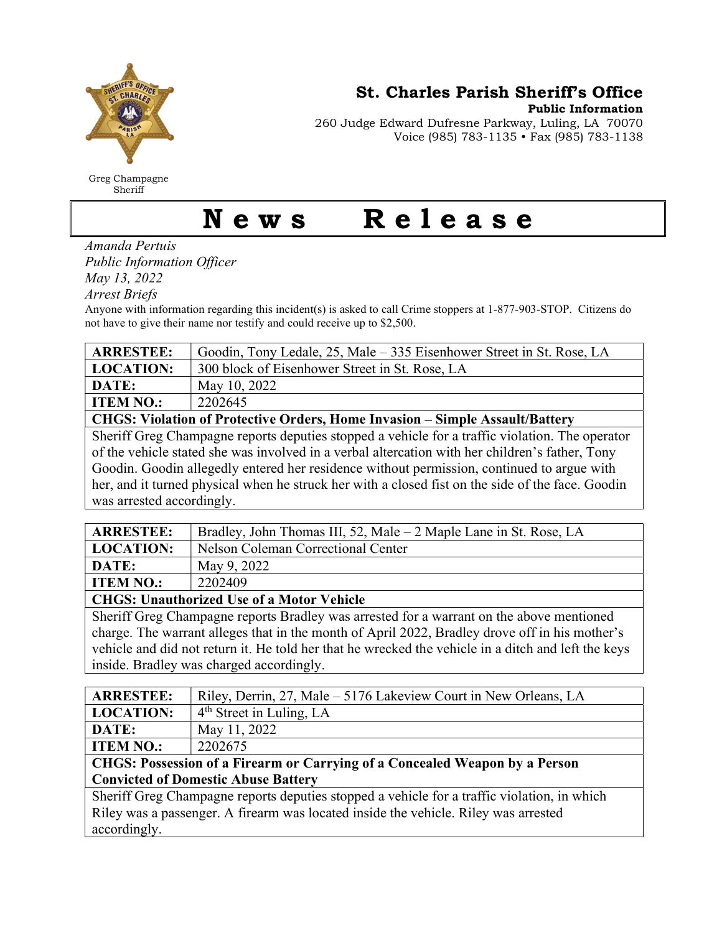

Greg Champagne Sheriff

St. Charles Parish Sheriff's Office

Public Information

260 Judge Edward Dufresne Parkway, Luling, LA 70070 Voice (985) 783-1135 • Fax (985) 783-1138

## News Release

Amanda Pertuis

Public Information Officer

May 13, 2022

Arrest Briefs

Anyone with information regarding this incident(s) is asked to call Crime stoppers at 1-877-903-STOP. Citizens do not have to give their name nor testify and could receive up to \$2,500.

| <b>ARRESTEE:</b>                                                                                  | Goodin, Tony Ledale, 25, Male – 335 Eisenhower Street in St. Rose, LA |  |
|---------------------------------------------------------------------------------------------------|-----------------------------------------------------------------------|--|
| <b>LOCATION:</b>                                                                                  | 300 block of Eisenhower Street in St. Rose, LA                        |  |
| DATE:                                                                                             | May 10, 2022                                                          |  |
| <b>ITEM NO.:</b>                                                                                  | 2202645                                                               |  |
| <b>CHGS: Violation of Protective Orders, Home Invasion - Simple Assault/Battery</b>               |                                                                       |  |
| Sheriff Greg Champagne reports deputies stopped a vehicle for a traffic violation. The operator   |                                                                       |  |
| of the vehicle stated she was involved in a verbal altercation with her children's father, Tony   |                                                                       |  |
| Goodin. Goodin allegedly entered her residence without permission, continued to argue with        |                                                                       |  |
| her, and it turned physical when he struck her with a closed fist on the side of the face. Goodin |                                                                       |  |
| was arrested accordingly.                                                                         |                                                                       |  |

| <b>ARRESTEE:</b>                                                                         | Bradley, John Thomas III, 52, Male – 2 Maple Lane in St. Rose, LA |  |
|------------------------------------------------------------------------------------------|-------------------------------------------------------------------|--|
| <b>LOCATION:</b>                                                                         | Nelson Coleman Correctional Center                                |  |
| DATE:                                                                                    | May 9, 2022                                                       |  |
| <b>ITEM NO.:</b>                                                                         | 2202409                                                           |  |
| <b>CHGS: Unauthorized Use of a Motor Vehicle</b>                                         |                                                                   |  |
| Sheriff Greg Champagne reports Bradley was arrested for a warrant on the above mentioned |                                                                   |  |

 $\delta$  sheriff Greg Champagne reports Bradley was arrested for a warrant on the above charge. The warrant alleges that in the month of April 2022, Bradley drove off in his mother's vehicle and did not return it. He told her that he wrecked the vehicle in a ditch and left the keys inside. Bradley was charged accordingly.

| <b>ARRESTEE:</b>                                                                            | Riley, Derrin, 27, Male - 5176 Lakeview Court in New Orleans, LA |  |
|---------------------------------------------------------------------------------------------|------------------------------------------------------------------|--|
| <b>LOCATION:</b>                                                                            | $4th$ Street in Luling, LA                                       |  |
| DATE:                                                                                       | May 11, 2022                                                     |  |
| <b>ITEM NO.:</b>                                                                            | 2202675                                                          |  |
| CHGS: Possession of a Firearm or Carrying of a Concealed Weapon by a Person                 |                                                                  |  |
| <b>Convicted of Domestic Abuse Battery</b>                                                  |                                                                  |  |
| Sheriff Greg Champagne reports deputies stopped a vehicle for a traffic violation, in which |                                                                  |  |
| Riley was a passenger. A firearm was located inside the vehicle. Riley was arrested         |                                                                  |  |
| accordingly.                                                                                |                                                                  |  |